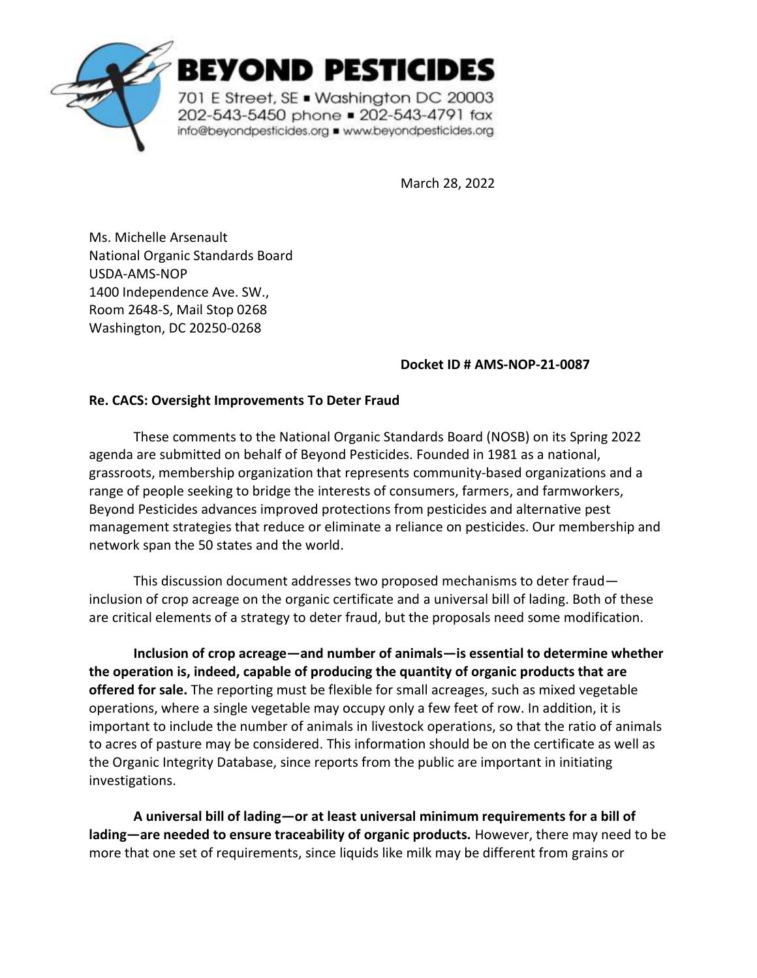

BEYOND PESTICIDES

701 E Street, SE . Washington DC 20003 202-543-5450 phone = 202-543-4791 fax info@beyondpesticides.org = www.beyondpesticides.org

March 28, 2022

Ms. Michelle Arsenault National Organic Standards Board USDA-AMS-NOP 1400 Independence Ave. SW., Room 2648-S, Mail Stop 0268 Washington, DC 20250-0268

## **Docket ID # AMS-NOP-21-0087**

## **Re. CACS: Oversight Improvements To Deter Fraud**

These comments to the National Organic Standards Board (NOSB) on its Spring 2022 agenda are submitted on behalf of Beyond Pesticides. Founded in 1981 as a national, grassroots, membership organization that represents community-based organizations and a range of people seeking to bridge the interests of consumers, farmers, and farmworkers, Beyond Pesticides advances improved protections from pesticides and alternative pest management strategies that reduce or eliminate a reliance on pesticides. Our membership and network span the 50 states and the world.

This discussion document addresses two proposed mechanisms to deter fraud inclusion of crop acreage on the organic certificate and a universal bill of lading. Both of these are critical elements of a strategy to deter fraud, but the proposals need some modification.

**Inclusion of crop acreage—and number of animals—is essential to determine whether the operation is, indeed, capable of producing the quantity of organic products that are offered for sale.** The reporting must be flexible for small acreages, such as mixed vegetable operations, where a single vegetable may occupy only a few feet of row. In addition, it is important to include the number of animals in livestock operations, so that the ratio of animals to acres of pasture may be considered. This information should be on the certificate as well as the Organic Integrity Database, since reports from the public are important in initiating investigations.

**A universal bill of lading—or at least universal minimum requirements for a bill of lading—are needed to ensure traceability of organic products.** However, there may need to be more that one set of requirements, since liquids like milk may be different from grains or